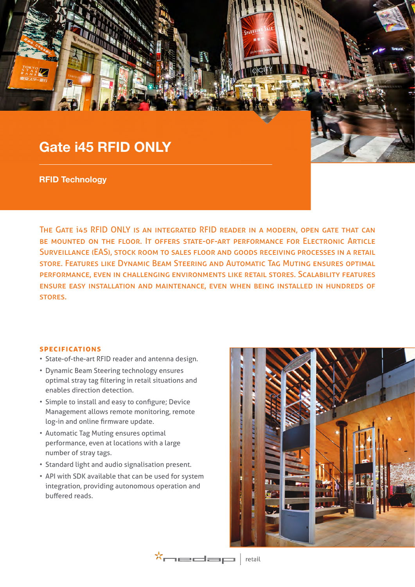# **Gate i45 RFID ONLY**

**RFID Technology**

The Gate i45 RFID ONLY is an integrated RFID reader in a modern, open gate that can be mounted on the floor. It offers state-of-art performance for Electronic Article Surveillance (EAS), stock room to sales floor and goods receiving processes in a retail store. Features like Dynamic Beam Steering and Automatic Tag Muting ensures optimal performance, even in challenging environments like retail stores. Scalability features ensure easy installation and maintenance, even when being installed in hundreds of stores.

## **specifications**

- State-of-the-art RFID reader and antenna design.
- Dynamic Beam Steering technology ensures optimal stray tag filtering in retail situations and enables direction detection.
- Simple to install and easy to configure; Device Management allows remote monitoring, remote log-in and online firmware update.
- Automatic Tag Muting ensures optimal performance, even at locations with a large number of stray tags.
- Standard light and audio signalisation present.
- API with SDK available that can be used for system integration, providing autonomous operation and buffered reads.